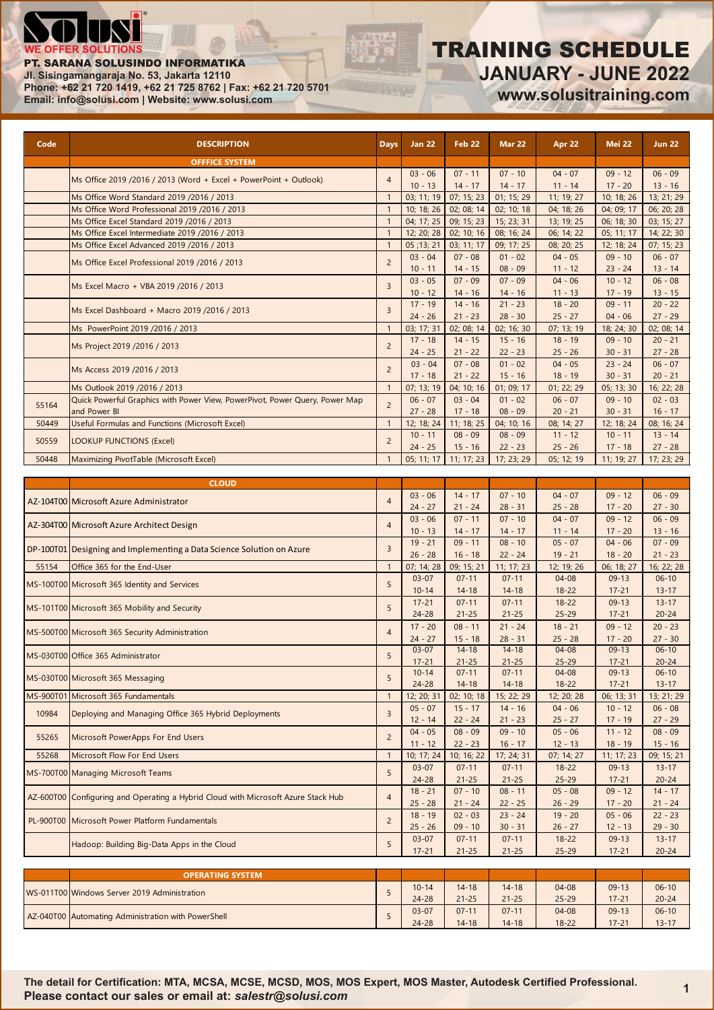

#### PT. SARANA SOLUSINDO INFORMATIKA

**Jl. Sisingamangaraja No. 53, Jakarta 12110**

**Phone: +62 21 720 1419, +62 21 725 8762 | Fax: +62 21 720 5701 Email: info@solusi.com | Website: www.solusi.com**

### TRAINING SCHEDULE **JANUARY - JUNE 2022 www.solusitraining.com**

| Code  | <b>DESCRIPTION</b>                                                                | Days           | <b>Jan 22</b>            | <b>Feb 22</b>           | <b>Mar 22</b>           | Apr 22                  | <b>Mei 22</b>           | <b>Jun 22</b>           |
|-------|-----------------------------------------------------------------------------------|----------------|--------------------------|-------------------------|-------------------------|-------------------------|-------------------------|-------------------------|
|       | <b>OFFFICE SYSTEM</b>                                                             |                |                          |                         |                         |                         |                         |                         |
|       | Ms Office 2019 /2016 / 2013 (Word + Excel + PowerPoint + Outlook)                 | $\overline{4}$ | $03 - 06$                | $07 - 11$               | $07 - 10$               | $04 - 07$               | $09 - 12$               | $06 - 09$               |
|       | Ms Office Word Standard 2019 / 2016 / 2013                                        | $\mathbf{1}$   | $10 - 13$<br>03; 11; 19  | $14 - 17$<br>07; 15; 23 | $14 - 17$<br>01; 15; 29 | $11 - 14$<br>11; 19; 27 | $17 - 20$<br>10; 18; 26 | $13 - 16$<br>13; 21; 29 |
|       | Ms Office Word Professional 2019 /2016 / 2013                                     | $\mathbf{1}$   | 10; 18; 26               | 02; 08; 14              | 02; 10; 18              | 04; 18; 26              | 04; 09; 17              | 06; 20; 28              |
|       | Ms Office Excel Standard 2019 /2016 / 2013                                        | $\mathbf{1}$   | 04; 17; 25               | 09; 15; 23              | 15; 23; 31              | 13; 19; 25              | 06; 18; 30              | 03; 15; 27              |
|       | Ms Office Excel Intermediate 2019 /2016 / 2013                                    | $\mathbf{1}$   | 12; 20; 28               | 02; 10; 16              | 08; 16; 24              | 06; 14; 22              | 05; 11; 17              | 14; 22; 30              |
|       | Ms Office Excel Advanced 2019 /2016 / 2013                                        | $\mathbf{1}$   | $\overline{05}$ ; 13; 21 | 03; 11; 17              | 09; 17; 25              | 08; 20; 25              | 12; 18; 24              | 07; 15; 23              |
|       | Ms Office Excel Professional 2019 /2016 / 2013                                    | $\overline{c}$ | $03 - 04$<br>$10 - 11$   | $07 - 08$<br>$14 - 15$  | $01 - 02$<br>$08 - 09$  | $04 - 05$<br>$11 - 12$  | $09 - 10$<br>$23 - 24$  | $06 - 07$<br>$13 - 14$  |
|       | Ms Excel Macro + VBA 2019 /2016 / 2013                                            | $\overline{3}$ | $03 - 05$<br>$10 - 12$   | $07 - 09$<br>$14 - 16$  | $07 - 09$<br>$14 - 16$  | $04 - 06$<br>$11 - 13$  | $10 - 12$<br>$17 - 19$  | $06 - 08$<br>$13 - 15$  |
|       | Ms Excel Dashboard + Macro 2019 /2016 / 2013                                      | $\overline{3}$ | $17 - 19$<br>$24 - 26$   | $14 - 16$<br>$21 - 23$  | $21 - 23$<br>$28 - 30$  | $18 - 20$<br>$25 - 27$  | $09 - 11$<br>$04 - 06$  | $20 - 22$<br>$27 - 29$  |
|       | Ms PowerPoint 2019 /2016 / 2013                                                   | $\mathbf{1}$   | 03; 17; 31               | 02; 08; 14              | 02; 16; 30              | 07; 13; 19              | 18; 24; 30              | 02; 08; 14              |
|       | Ms Project 2019 /2016 / 2013                                                      | $\overline{2}$ | $17 - 18$<br>$24 - 25$   | $14 - 15$<br>$21 - 22$  | $15 - 16$<br>$22 - 23$  | $18 - 19$<br>$25 - 26$  | $09 - 10$<br>$30 - 31$  | $20 - 21$<br>$27 - 28$  |
|       | Ms Access 2019 /2016 / 2013                                                       | $\overline{c}$ | $03 - 04$<br>$17 - 18$   | $07 - 08$<br>$21 - 22$  | $01 - 02$<br>$15 - 16$  | $04 - 05$<br>$18 - 19$  | $23 - 24$<br>$30 - 31$  | $06 - 07$<br>$20 - 21$  |
|       | Ms Outlook 2019 /2016 / 2013                                                      | $\mathbf{1}$   | 07; 13; 19               | 04; 10; 16              | 01; 09; 17              | 01; 22; 29              | 05; 13; 30              | 16; 22; 28              |
|       | Quick Powerful Graphics with Power View, PowerPivot, Power Query, Power Map       |                | $06 - 07$                | $03 - 04$               | $01 - 02$               | $06 - 07$               | $09 - 10$               | $02 - 03$               |
| 55164 | and Power BI                                                                      | $\overline{2}$ | $27 - 28$                | $17 - 18$               | $08 - 09$               | $20 - 21$               | $30 - 31$               | $16 - 17$               |
| 50449 | Useful Formulas and Functions (Microsoft Excel)                                   | $\mathbf{1}$   | 12; 18; 24               | 11; 18; 25              | 04; 10; 16              | 08; 14; 27              | 12; 18; 24              | 08; 16; 24              |
| 50559 | <b>LOOKUP FUNCTIONS (Excel)</b>                                                   | $\overline{c}$ | $10 - 11$<br>$24 - 25$   | $08 - 09$<br>$15 - 16$  | $08 - 09$<br>$22 - 23$  | $11 - 12$<br>$25 - 26$  | $10 - 11$<br>$17 - 18$  | $13 - 14$<br>$27 - 28$  |
| 50448 | Maximizing PivotTable (Microsoft Excel)                                           | $\mathbf{1}$   | 05; 11; 17               | 11; 17; 23              | 17; 23; 29              | 05; 12; 19              | 11; 19; 27              | 17; 23; 29              |
|       |                                                                                   |                |                          |                         |                         |                         |                         |                         |
|       | <b>CLOUD</b>                                                                      |                |                          |                         |                         |                         |                         |                         |
|       | AZ-104T00 Microsoft Azure Administrator                                           | $\overline{4}$ | $03 - 06$                | $14 - 17$               | $07 - 10$               | $04 - 07$               | $09 - 12$               | $06 - 09$               |
|       |                                                                                   |                | $24 - 27$<br>$03 - 06$   | $21 - 24$<br>$07 - 11$  | $28 - 31$<br>$07 - 10$  | $25 - 28$<br>$04 - 07$  | $17 - 20$<br>$09 - 12$  | $27 - 30$<br>$06 - 09$  |
|       | AZ-304T00 Microsoft Azure Architect Design                                        | $\overline{4}$ | $10 - 13$                | $14 - 17$               | $14 - 17$               | $11 - 14$               | $17 - 20$               | $13 - 16$               |
|       |                                                                                   | $\overline{3}$ | $19 - 21$                | $09 - 11$               | $08 - 10$               | $05 - 07$               | $04 - 06$               | $07 - 09$               |
|       | DP-100T01 Designing and Implementing a Data Science Solution on Azure             |                | $26 - 28$                | $16 - 18$               | $22 - 24$               | $19 - 21$               | $18 - 20$               | $21 - 23$               |
| 55154 | Office 365 for the End-User                                                       | $\mathbf{1}$   | 07; 14; 28               | 09; 15; 21              | 11; 17; 23              | 12; 19; 26              | 06; 18; 27              | 16; 22; 28              |
|       | MS-100T00 Microsoft 365 Identity and Services                                     | 5              | $03 - 07$<br>$10 - 14$   | $07 - 11$<br>$14 - 18$  | $07 - 11$<br>$14 - 18$  | $04 - 08$<br>$18 - 22$  | $09-13$<br>$17 - 21$    | $06 - 10$<br>$13 - 17$  |
|       | MS-101T00 Microsoft 365 Mobility and Security                                     | 5              | $17 - 21$                | $07 - 11$               | $07 - 11$               | $18 - 22$               | $09-13$                 | $13 - 17$<br>$20 - 24$  |
|       |                                                                                   |                | $24 - 28$<br>$17 - 20$   | $21 - 25$<br>$08 - 11$  | $21 - 25$<br>$21 - 24$  | $25 - 29$<br>$18 - 21$  | $17 - 21$<br>$09 - 12$  | $20 - 23$               |
|       | MS-500T00 Microsoft 365 Security Administration                                   | $\overline{4}$ | $24 - 27$                | $15 - 18$               | $28 - 31$               | $25 - 28$               | $17 - 20$               | $27 - 30$               |
|       | MS-030T00 Office 365 Administrator                                                | 5              | $03 - 07$<br>$17 - 21$   | $14 - 18$<br>$21 - 25$  | $14 - 18$<br>$21 - 25$  | $04 - 08$<br>$25 - 29$  | $09-13$<br>$17 - 21$    | $06 - 10$<br>$20 - 24$  |
|       | MS-030T00 Microsoft 365 Messaging                                                 | 5              | $10 - 14$                | $07 - 11$               | $07 - 11$               | $04 - 08$               | $09-13$                 | $06 - 10$               |
|       | MS-900T01 Microsoft 365 Fundamentals                                              | $\mathbf{1}$   | $24 - 28$<br>12; 20; 31  | $14 - 18$<br>02; 10; 18 | $14 - 18$<br>15; 22; 29 | $18 - 22$<br>12; 20; 28 | $17 - 21$<br>06; 13; 31 | $13 - 17$<br>13; 21; 29 |
|       |                                                                                   |                | $05 - 07$                | $15 - 17$               | $14 - 16$               | $04 - 06$               | $10 - 12$               | $06 - 08$               |
| 10984 | Deploying and Managing Office 365 Hybrid Deployments                              | $\overline{3}$ | $12 - 14$                | $22 - 24$               | $21 - 23$               | $25 - 27$               | $17 - 19$               | $27 - 29$               |
| 55265 | Microsoft PowerApps For End Users                                                 | $\overline{c}$ | $04 - 05$                | $08 - 09$               | $09 - 10$               | $05 - 06$               | $11 - 12$               | $08 - 09$               |
| 55268 | Microsoft Flow For End Users                                                      | $\mathbf{1}$   | $11 - 12$                | $22 - 23$               | $16 - 17$               | $12 - 13$               | $18 - 19$               | $15 - 16$               |
|       |                                                                                   |                | 10; 17; 24<br>$03 - 07$  | 10; 16; 22<br>$07 - 11$ | 17; 24; 31<br>$07 - 11$ | 07; 14; 27<br>$18 - 22$ | 11; 17; 23<br>$09-13$   | 09; 15; 21<br>$13 - 17$ |
|       | MS-700T00 Managing Microsoft Teams                                                | 5              | $24 - 28$                | $21 - 25$               | $21 - 25$               | $25 - 29$               | $17 - 21$               | $20 - 24$               |
|       | AZ-600T00 Configuring and Operating a Hybrid Cloud with Microsoft Azure Stack Hub | $\overline{4}$ | $18 - 21$<br>$25 - 28$   | $07 - 10$<br>$21 - 24$  | $08 - 11$<br>$22 - 25$  | $05 - 08$<br>$26 - 29$  | $09 - 12$<br>$17 - 20$  | $14 - 17$<br>$21 - 24$  |
|       | PL-900T00 Microsoft Power Platform Fundamentals                                   | $\overline{2}$ | $18 - 19$<br>$25 - 26$   | $02 - 03$<br>$09 - 10$  | $23 - 24$<br>$30 - 31$  | $19 - 20$<br>$26 - 27$  | $05 - 06$<br>$12 - 13$  | $22 - 23$<br>$29 - 30$  |
|       | Hadoop: Building Big-Data Apps in the Cloud                                       | 5              | $03 - 07$<br>$17 - 21$   | $07 - 11$<br>$21 - 25$  | $07 - 11$<br>$21 - 25$  | $18 - 22$<br>$25 - 29$  | $09-13$<br>$17 - 21$    | $13 - 17$<br>$20 - 24$  |
|       |                                                                                   |                |                          |                         |                         |                         |                         |                         |
|       | <b>OPERATING SYSTEM</b>                                                           |                |                          |                         |                         |                         |                         |                         |
|       | WS-011T00 Windows Server 2019 Administration                                      | 5              | $10 - 14$                | $14 - 18$               | $14 - 18$               | $04 - 08$               | $09-13$                 | $06 - 10$               |
|       |                                                                                   |                | $24 - 28$                | $21 - 25$               | $21 - 25$               | $25 - 29$               | $17 - 21$               | $20 - 24$               |
|       | AZ-040T00 Automating Administration with PowerShell                               | 5              | $03 - 07$                | $07 - 11$               | $07 - 11$               | $04 - 08$               | $09-13$                 | $06 - 10$               |
|       |                                                                                   |                | $24 - 28$                | $14 - 18$               | $14 - 18$               | $18 - 22$               | $17 - 21$               | $13 - 17$               |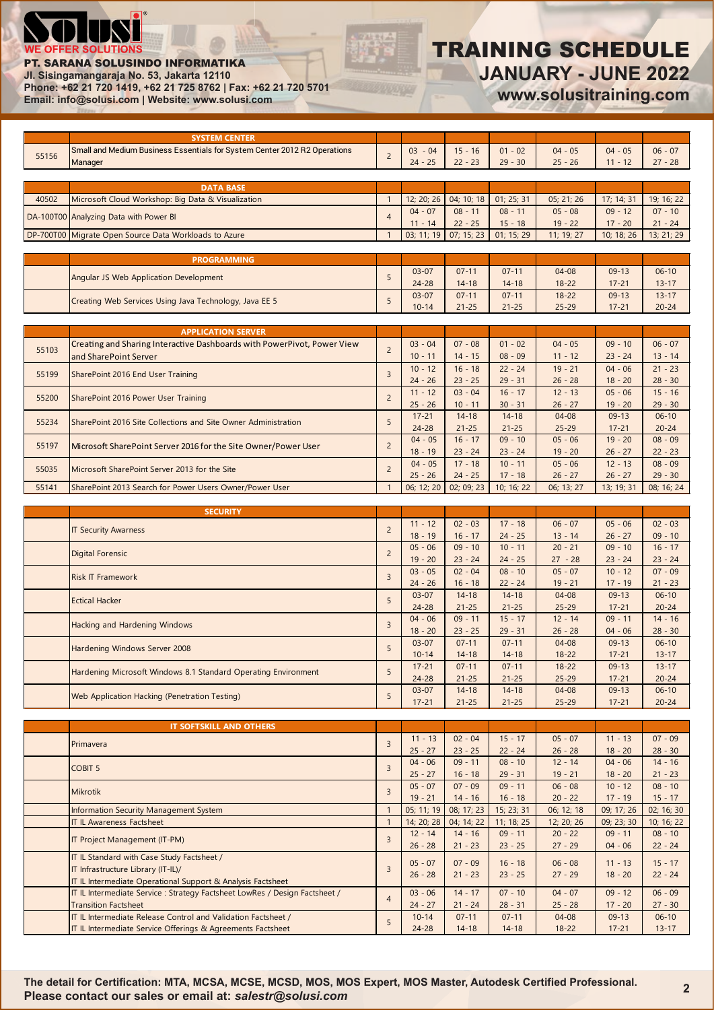

#### PT. SARANA SOLUSINDO INFORMATIKA

**Jl. Sisingamangaraja No. 53, Jakarta 12110**

**Phone: +62 21 720 1419, +62 21 725 8762 | Fax: +62 21 720 5701 Email: info@solusi.com | Website: www.solusi.com**

# TRAINING SCHEDULE **JANUARY - JUNE 2022**

**www.solusitraining.com**

|       | <b>SYSTEM CENTER</b>                                                        |                |            |            |            |            |            |            |
|-------|-----------------------------------------------------------------------------|----------------|------------|------------|------------|------------|------------|------------|
| 55156 | Small and Medium Business Essentials for System Center 2012 R2 Operations   | $\overline{c}$ | $03 - 04$  | $15 - 16$  | $01 - 02$  | $04 - 05$  | $04 - 05$  | $06 - 07$  |
|       | Manager                                                                     |                | $24 - 25$  | $22 - 23$  | $29 - 30$  | $25 - 26$  | $11 - 12$  | $27 - 28$  |
|       |                                                                             |                |            |            |            |            |            |            |
|       | <b>DATA BASE</b>                                                            |                |            |            |            |            |            |            |
| 40502 | Microsoft Cloud Workshop: Big Data & Visualization                          | $\overline{1}$ | 12; 20; 26 | 04; 10; 18 | 01; 25; 31 | 05; 21; 26 | 17; 14; 31 | 19; 16; 22 |
|       | DA-100T00 Analyzing Data with Power BI                                      | $\overline{4}$ | $04 - 07$  | $08 - 11$  | $08 - 11$  | $05 - 08$  | $09 - 12$  | $07 - 10$  |
|       |                                                                             |                | $11 - 14$  | $22 - 25$  | $15 - 18$  | $19 - 22$  | $17 - 20$  | $21 - 24$  |
|       | DP-700T00 Migrate Open Source Data Workloads to Azure                       | $\overline{1}$ | 03; 11; 19 | 07; 15; 23 | 01; 15; 29 | 11; 19; 27 | 10; 18; 26 | 13; 21; 29 |
|       |                                                                             |                |            |            |            |            |            |            |
|       | <b>PROGRAMMING</b>                                                          |                |            |            |            |            |            |            |
|       | Angular JS Web Application Development                                      | 5              | $03 - 07$  | $07 - 11$  | $07 - 11$  | $04 - 08$  | $09 - 13$  | $06 - 10$  |
|       |                                                                             |                | $24 - 28$  | $14 - 18$  | $14 - 18$  | $18 - 22$  | $17 - 21$  | $13 - 17$  |
|       | Creating Web Services Using Java Technology, Java EE 5                      | 5              | $03 - 07$  | $07 - 11$  | $07 - 11$  | $18 - 22$  | $09 - 13$  | $13 - 17$  |
|       |                                                                             |                | $10 - 14$  | $21 - 25$  | $21 - 25$  | $25 - 29$  | $17 - 21$  | $20 - 24$  |
|       |                                                                             |                |            |            |            |            |            |            |
|       | <b>APPLICATION SERVER</b>                                                   |                |            |            |            |            |            |            |
| 55103 | Creating and Sharing Interactive Dashboards with PowerPivot, Power View     | $\overline{c}$ | $03 - 04$  | $07 - 08$  | $01 - 02$  | $04 - 05$  | $09 - 10$  | $06 - 07$  |
|       | and SharePoint Server                                                       |                | $10 - 11$  | $14 - 15$  | $08 - 09$  | $11 - 12$  | $23 - 24$  | $13 - 14$  |
| 55199 |                                                                             | $\overline{3}$ | $10 - 12$  | $16 - 18$  | $22 - 24$  | $19 - 21$  | $04 - 06$  | $21 - 23$  |
|       | SharePoint 2016 End User Training                                           |                | $24 - 26$  | $23 - 25$  | $29 - 31$  | $26 - 28$  | $18 - 20$  | $28 - 30$  |
| 55200 | SharePoint 2016 Power User Training                                         | $\overline{2}$ | $11 - 12$  | $03 - 04$  | $16 - 17$  | $12 - 13$  | $05 - 06$  | $15 - 16$  |
|       |                                                                             |                | $25 - 26$  | $10 - 11$  | $30 - 31$  | $26 - 27$  | $19 - 20$  | $29 - 30$  |
| 55234 | SharePoint 2016 Site Collections and Site Owner Administration              | 5              | $17 - 21$  | $14 - 18$  | $14 - 18$  | $04 - 08$  | $09-13$    | $06 - 10$  |
|       |                                                                             |                | $24 - 28$  | $21 - 25$  | $21 - 25$  | $25 - 29$  | $17 - 21$  | $20 - 24$  |
| 55197 |                                                                             | $\overline{c}$ | $04 - 05$  | $16 - 17$  | $09 - 10$  | $05 - 06$  | $19 - 20$  | $08 - 09$  |
|       | Microsoft SharePoint Server 2016 for the Site Owner/Power User              |                | $18 - 19$  | $23 - 24$  | $23 - 24$  | $19 - 20$  | $26 - 27$  | $22 - 23$  |
|       |                                                                             | $\overline{2}$ | $04 - 05$  | $17 - 18$  | $10 - 11$  | $05 - 06$  | $12 - 13$  | $08 - 09$  |
| 55035 | Microsoft SharePoint Server 2013 for the Site                               |                | $25 - 26$  | $24 - 25$  | $17 - 18$  | $26 - 27$  | $26 - 27$  | $29 - 30$  |
| 55141 | SharePoint 2013 Search for Power Users Owner/Power User                     | $\overline{1}$ | 06; 12; 20 | 02; 09; 23 | 10; 16; 22 | 06; 13; 27 | 13; 19; 31 | 08; 16; 24 |
|       |                                                                             |                |            |            |            |            |            |            |
|       | <b>SECURITY</b>                                                             |                |            |            |            |            |            |            |
|       |                                                                             |                | $11 - 12$  | $02 - 03$  | $17 - 18$  | $06 - 07$  | $05 - 06$  | $02 - 03$  |
|       | <b>IT Security Awarness</b>                                                 | $\overline{2}$ | $18 - 19$  | $16 - 17$  | $24 - 25$  | $13 - 14$  | $26 - 27$  | $09 - 10$  |
|       |                                                                             | $\overline{2}$ | $05 - 06$  | $09 - 10$  | $10 - 11$  | $20 - 21$  | $09 - 10$  | $16 - 17$  |
|       | <b>Digital Forensic</b>                                                     |                | $19 - 20$  | $23 - 24$  | $24 - 25$  | $27 - 28$  | $23 - 24$  | $23 - 24$  |
|       |                                                                             | $\overline{3}$ | $03 - 05$  | $02 - 04$  | $08 - 10$  | $05 - 07$  | $10 - 12$  | $07 - 09$  |
|       | <b>Risk IT Framework</b>                                                    |                | $24 - 26$  | $16 - 18$  | $22 - 24$  | $19 - 21$  | $17 - 19$  | $21 - 23$  |
|       | <b>Ectical Hacker</b>                                                       | 5              | $03 - 07$  | $14 - 18$  | $14 - 18$  | $04 - 08$  | $09-13$    | $06 - 10$  |
|       |                                                                             |                | $24 - 28$  | $21 - 25$  | $21 - 25$  | $25 - 29$  | $17 - 21$  | $20 - 24$  |
|       | Hacking and Hardening Windows                                               | $\overline{3}$ | $04 - 06$  | $09 - 11$  | $15 - 17$  | $12 - 14$  | $09 - 11$  | $14 - 16$  |
|       |                                                                             |                | $18 - 20$  | $23 - 25$  | $29 - 31$  | $26 - 28$  | $04 - 06$  | $28 - 30$  |
|       | Hardening Windows Server 2008                                               | 5              | $03 - 07$  | $07 - 11$  | $07 - 11$  | $04 - 08$  | $09-13$    | $06-10$    |
|       |                                                                             |                | $10 - 14$  | $14 - 18$  | $14 - 18$  | $18 - 22$  | $17 - 21$  | $13 - 17$  |
|       | Hardening Microsoft Windows 8.1 Standard Operating Environment              | 5              | $17 - 21$  | $07 - 11$  | $07 - 11$  | $18 - 22$  | $09-13$    | $13 - 17$  |
|       |                                                                             |                | $24 - 28$  | $21 - 25$  | $21 - 25$  | $25 - 29$  | $17 - 21$  | $20 - 24$  |
|       | Web Application Hacking (Penetration Testing)                               | 5              | $03 - 07$  | $14 - 18$  | $14 - 18$  | $04 - 08$  | $09-13$    | $06 - 10$  |
|       |                                                                             |                | $17 - 21$  | $21 - 25$  | $21 - 25$  | $25 - 29$  | $17 - 21$  | $20 - 24$  |
|       |                                                                             |                |            |            |            |            |            |            |
|       | IT SOFTSKILL AND OTHERS                                                     |                |            |            |            |            |            |            |
|       |                                                                             |                | $11 - 13$  | $02 - 04$  | $15 - 17$  | $05 - 07$  | $11 - 13$  | $07 - 09$  |
|       | Primavera                                                                   | $\overline{3}$ | $25 - 27$  | $23 - 25$  | $22 - 24$  | $26 - 28$  | $18 - 20$  | $28 - 30$  |
|       |                                                                             |                | $04 - 06$  | $09 - 11$  | $08 - 10$  | $12 - 14$  | $04 - 06$  | $14 - 16$  |
|       | <b>COBIT 5</b>                                                              | $\overline{3}$ | $25 - 27$  | $16 - 18$  | $29 - 31$  | $19 - 21$  | $18 - 20$  | $21 - 23$  |
|       |                                                                             |                | $05 - 07$  | $07 - 09$  | $09 - 11$  | $06 - 08$  | $10 - 12$  | $08 - 10$  |
|       | <b>Mikrotik</b>                                                             | $\overline{3}$ | $19 - 21$  | $14 - 16$  | $16 - 18$  | $20 - 22$  | $17 - 19$  | $15 - 17$  |
|       | <b>Information Security Management System</b>                               | $\mathbf{1}$   | 05; 11; 19 | 08; 17; 23 | 15; 23; 31 | 06; 12; 18 | 09; 17; 26 | 02; 16; 30 |
|       | <b>IT IL Awareness Factsheet</b>                                            | $\mathbf{1}$   | 14; 20; 28 | 04; 14; 22 | 11; 18; 25 | 12; 20; 26 | 09; 23; 30 | 10; 16; 22 |
|       |                                                                             |                | $12 - 14$  | $14 - 16$  | $09 - 11$  | $20 - 22$  | $09 - 11$  | $08 - 10$  |
|       | IT Project Management (IT-PM)                                               | $\overline{3}$ | $26 - 28$  | $21 - 23$  | $23 - 25$  | $27 - 29$  | $04 - 06$  | $22 - 24$  |
|       | IT IL Standard with Case Study Factsheet /                                  |                |            |            |            |            |            |            |
|       | IT Infrastructure Library (IT-IL)/                                          | $\overline{3}$ | $05 - 07$  | $07 - 09$  | $16 - 18$  | $06 - 08$  | $11 - 13$  | $15 - 17$  |
|       | IT IL Intermediate Operational Support & Analysis Factsheet                 |                | $26 - 28$  | $21 - 23$  | $23 - 25$  | $27 - 29$  | $18 - 20$  | $22 - 24$  |
|       | IT IL Intermediate Service : Strategy Factsheet LowRes / Design Factsheet / |                | $03 - 06$  | $14 - 17$  | $07 - 10$  | $04 - 07$  | $09 - 12$  | $06 - 09$  |
|       | <b>Transition Factsheet</b>                                                 | $\overline{4}$ | $24 - 27$  | $21 - 24$  | $28 - 31$  | $25 - 28$  | $17 - 20$  | $27 - 30$  |
|       | IT IL Intermediate Release Control and Validation Factsheet /               |                | $10 - 14$  | $07 - 11$  | $07 - 11$  | $04 - 08$  | $09-13$    | $06 - 10$  |
|       | IT IL Intermediate Service Offerings & Agreements Factsheet                 | 5              | $24 - 28$  | $14 - 18$  | $14 - 18$  | $18 - 22$  | $17 - 21$  | $13 - 17$  |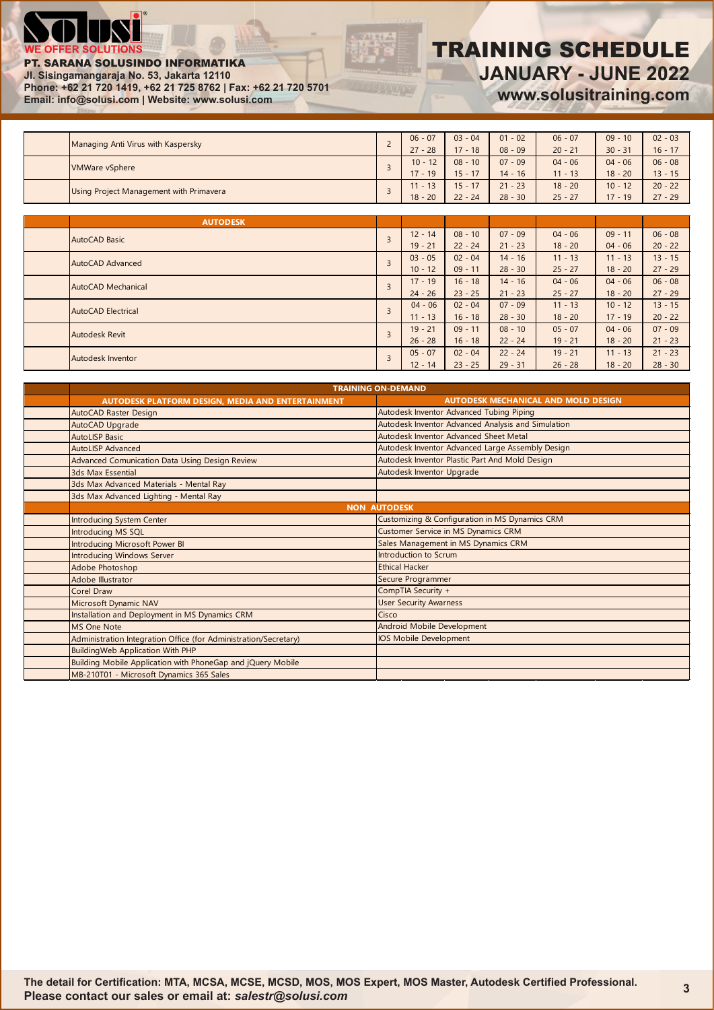

#### PT. SARANA SOLUSINDO INFORMATIKA

**Jl. Sisingamangaraja No. 53, Jakarta 12110**

**Phone: +62 21 720 1419, +62 21 725 8762 | Fax: +62 21 720 5701 Email: info@solusi.com | Website: www.solusi.com**

## TRAINING SCHEDULE **JANUARY - JUNE 2022 www.solusitraining.com**

| Managing Anti Virus with Kaspersky |                                                | $\sim$ | $06 - 07$ | $03 - 04$ | $01 - 02$ | $06 - 07$ | $09 - 10$ | $02 - 03$ |
|------------------------------------|------------------------------------------------|--------|-----------|-----------|-----------|-----------|-----------|-----------|
|                                    |                                                |        | $27 - 28$ | $17 - 18$ | $08 - 09$ | $20 - 21$ | $30 - 31$ | $16 - 17$ |
| VMWare vSphere                     |                                                |        | $10 - 12$ | $08 - 10$ | $07 - 09$ | $04 - 06$ | $04 - 06$ | $06 - 08$ |
|                                    |                                                |        | $17 - 19$ | $15 - 17$ | $14 - 16$ | $11 - 13$ | $18 - 20$ | $13 - 15$ |
|                                    | <b>Using Project Management with Primavera</b> |        | $11 - 13$ | $15 - 17$ | $21 - 23$ | $18 - 20$ | $10 - 12$ | $20 - 22$ |
|                                    |                                                |        | $18 - 20$ | $22 - 24$ | $28 - 30$ | $25 - 27$ | $17 - 19$ | $27 - 29$ |

|                    | <b>AUTODESK</b>    |                                                                                                                                               |           |           |           |           |           |           |
|--------------------|--------------------|-----------------------------------------------------------------------------------------------------------------------------------------------|-----------|-----------|-----------|-----------|-----------|-----------|
|                    | AutoCAD Basic      |                                                                                                                                               | $12 - 14$ | $08 - 10$ | $07 - 09$ | $04 - 06$ | $09 - 11$ | $06 - 08$ |
|                    |                    |                                                                                                                                               | $19 - 21$ | $22 - 24$ | $21 - 23$ | $18 - 20$ | $04 - 06$ | $20 - 22$ |
|                    | AutoCAD Advanced   |                                                                                                                                               | $03 - 05$ | $02 - 04$ | $14 - 16$ | $11 - 13$ | $11 - 13$ | $13 - 15$ |
|                    |                    |                                                                                                                                               | $10 - 12$ | $09 - 11$ | $28 - 30$ | $25 - 27$ | $18 - 20$ | $27 - 29$ |
| AutoCAD Mechanical |                    |                                                                                                                                               | $17 - 19$ | $16 - 18$ | $14 - 16$ | $04 - 06$ | $04 - 06$ | $06 - 08$ |
|                    |                    |                                                                                                                                               | $24 - 26$ | $23 - 25$ | $21 - 23$ | $25 - 27$ | $18 - 20$ | $27 - 29$ |
|                    | AutoCAD Electrical |                                                                                                                                               | $04 - 06$ | $02 - 04$ | $07 - 09$ | $11 - 13$ | $10 - 12$ | $13 - 15$ |
|                    |                    |                                                                                                                                               | $11 - 13$ | $16 - 18$ | $28 - 30$ | $18 - 20$ | $17 - 19$ | $20 - 22$ |
|                    | Autodesk Revit     |                                                                                                                                               | $19 - 21$ | $09 - 11$ | $08 - 10$ | $05 - 07$ | $04 - 06$ | $07 - 09$ |
|                    |                    |                                                                                                                                               | $26 - 28$ | $16 - 18$ | $22 - 24$ | $19 - 21$ | $18 - 20$ | $21 - 23$ |
|                    | Autodesk Inventor  | $\overline{3}$<br>$\overline{3}$<br>$05 - 07$<br>$02 - 04$<br>$22 - 24$<br>$19 - 21$<br>3<br>$23 - 25$<br>$12 - 14$<br>$29 - 31$<br>$26 - 28$ | $11 - 13$ | $21 - 23$ |           |           |           |           |
|                    |                    |                                                                                                                                               |           |           |           |           | $18 - 20$ | $28 - 30$ |

|                       | <b>TRAINING ON-DEMAND</b>                                        |                                                    |  |  |  |  |  |  |
|-----------------------|------------------------------------------------------------------|----------------------------------------------------|--|--|--|--|--|--|
|                       | AUTODESK PLATFORM DESIGN, MEDIA AND ENTERTAINMENT                | <b>AUTODESK MECHANICAL AND MOLD DESIGN</b>         |  |  |  |  |  |  |
|                       | AutoCAD Raster Design                                            | Autodesk Inventor Advanced Tubing Piping           |  |  |  |  |  |  |
|                       | AutoCAD Upgrade                                                  | Autodesk Inventor Advanced Analysis and Simulation |  |  |  |  |  |  |
| <b>AutoLISP Basic</b> |                                                                  | Autodesk Inventor Advanced Sheet Metal             |  |  |  |  |  |  |
|                       | <b>AutoLISP Advanced</b>                                         | Autodesk Inventor Advanced Large Assembly Design   |  |  |  |  |  |  |
|                       | Advanced Comunication Data Using Design Review                   | Autodesk Inventor Plastic Part And Mold Design     |  |  |  |  |  |  |
|                       | 3ds Max Essential                                                | Autodesk Inventor Upgrade                          |  |  |  |  |  |  |
|                       | 3ds Max Advanced Materials - Mental Ray                          |                                                    |  |  |  |  |  |  |
|                       | 3ds Max Advanced Lighting - Mental Ray                           |                                                    |  |  |  |  |  |  |
|                       |                                                                  | <b>NON AUTODESK</b>                                |  |  |  |  |  |  |
|                       | Introducing System Center                                        | Customizing & Configuration in MS Dynamics CRM     |  |  |  |  |  |  |
|                       | Introducing MS SQL                                               | Customer Service in MS Dynamics CRM                |  |  |  |  |  |  |
|                       | Introducing Microsoft Power BI                                   | Sales Management in MS Dynamics CRM                |  |  |  |  |  |  |
|                       | <b>Introducing Windows Server</b>                                | Introduction to Scrum                              |  |  |  |  |  |  |
|                       | Adobe Photoshop                                                  | <b>Ethical Hacker</b>                              |  |  |  |  |  |  |
|                       | <b>Adobe Illustrator</b>                                         | Secure Programmer                                  |  |  |  |  |  |  |
| <b>Corel Draw</b>     |                                                                  | CompTIA Security +                                 |  |  |  |  |  |  |
|                       | Microsoft Dynamic NAV                                            | <b>User Security Awarness</b>                      |  |  |  |  |  |  |
|                       | Installation and Deployment in MS Dynamics CRM                   | Cisco                                              |  |  |  |  |  |  |
| <b>MS One Note</b>    |                                                                  | <b>Android Mobile Development</b>                  |  |  |  |  |  |  |
|                       | Administration Integration Office (for Administration/Secretary) | IOS Mobile Development                             |  |  |  |  |  |  |
|                       | <b>BuildingWeb Application With PHP</b>                          |                                                    |  |  |  |  |  |  |
|                       | Building Mobile Application with PhoneGap and jQuery Mobile      |                                                    |  |  |  |  |  |  |
|                       | MB-210T01 - Microsoft Dynamics 365 Sales                         |                                                    |  |  |  |  |  |  |